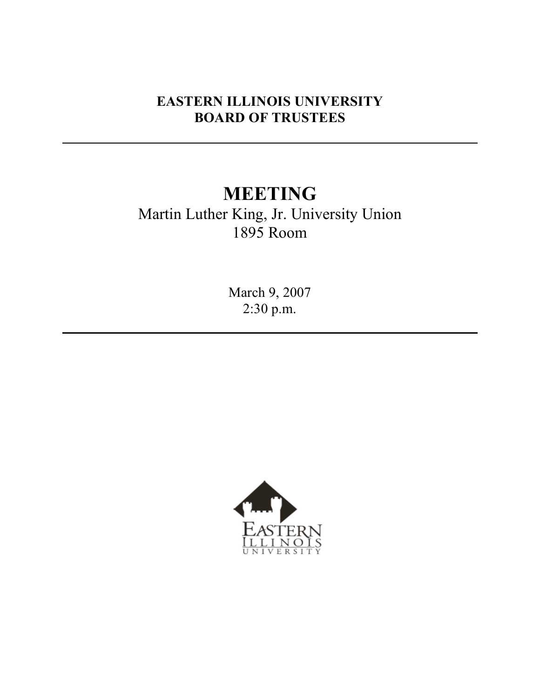## **EASTERN ILLINOIS UNIVERSITY BOARD OF TRUSTEES**

# **MEETING**

Martin Luther King, Jr. University Union 1895 Room

> March 9, 2007 2:30 p.m.

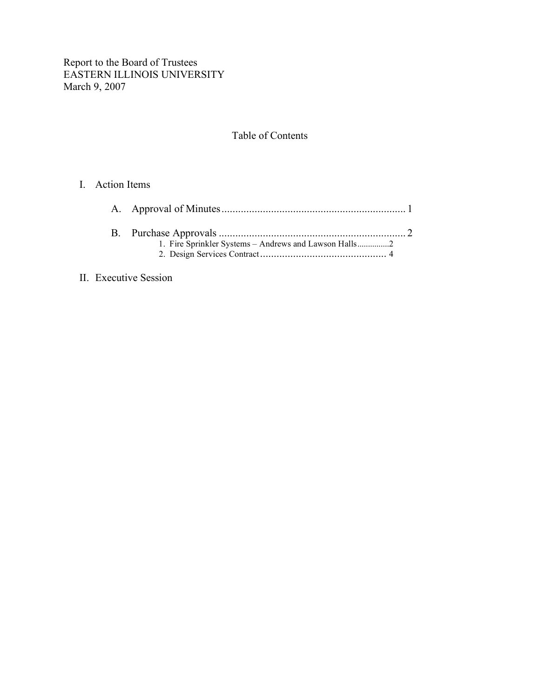Report to the Board of Trustees EASTERN ILLINOIS UNIVERSITY March 9, 2007

#### Table of Contents

#### I. Action Items

#### II. Executive Session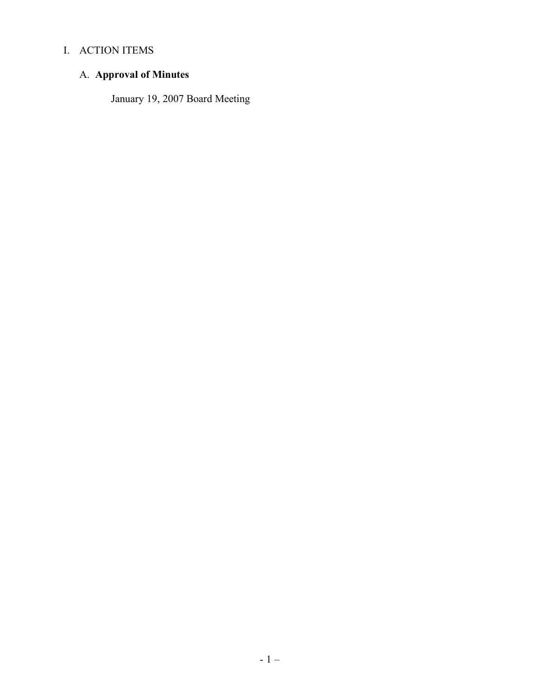## I. ACTION ITEMS

## A. **Approval of Minutes**

January 19, 2007 Board Meeting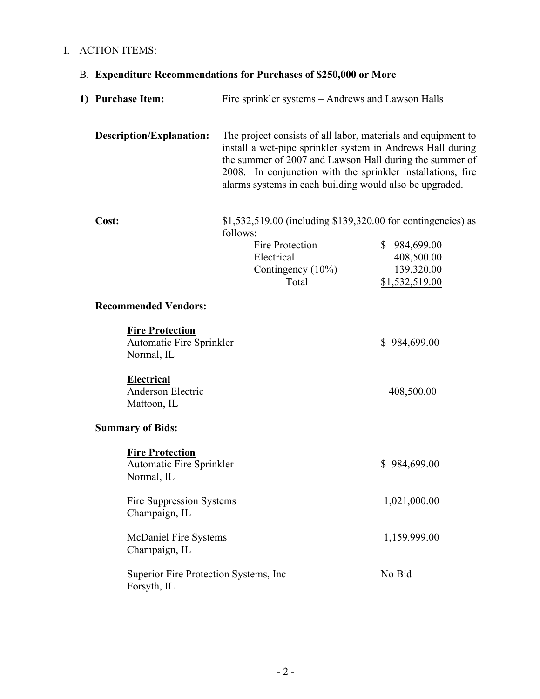## I. ACTION ITEMS:

## B. **Expenditure Recommendations for Purchases of \$250,000 or More**

|                         | 1) Purchase Item:                                                       | Fire sprinkler systems – Andrews and Lawson Halls                                                                                                                                                                                                                                                                |                                                                          |
|-------------------------|-------------------------------------------------------------------------|------------------------------------------------------------------------------------------------------------------------------------------------------------------------------------------------------------------------------------------------------------------------------------------------------------------|--------------------------------------------------------------------------|
|                         | <b>Description/Explanation:</b>                                         | The project consists of all labor, materials and equipment to<br>install a wet-pipe sprinkler system in Andrews Hall during<br>the summer of 2007 and Lawson Hall during the summer of<br>2008. In conjunction with the sprinkler installations, fire<br>alarms systems in each building would also be upgraded. |                                                                          |
|                         | Cost:                                                                   | \$1,532,519.00 (including \$139,320.00 for contingencies) as<br>follows:<br>Fire Protection<br>Electrical<br>Contingency $(10\%)$<br>Total                                                                                                                                                                       | $\mathbb{S}$<br>984,699.00<br>408,500.00<br>139,320.00<br>\$1,532,519.00 |
|                         | <b>Recommended Vendors:</b>                                             |                                                                                                                                                                                                                                                                                                                  |                                                                          |
|                         | <b>Fire Protection</b><br>Automatic Fire Sprinkler<br>Normal, IL        |                                                                                                                                                                                                                                                                                                                  | \$984,699.00                                                             |
|                         | <b>Electrical</b><br>Anderson Electric<br>Mattoon, IL                   |                                                                                                                                                                                                                                                                                                                  | 408,500.00                                                               |
| <b>Summary of Bids:</b> |                                                                         |                                                                                                                                                                                                                                                                                                                  |                                                                          |
|                         | <b>Fire Protection</b><br><b>Automatic Fire Sprinkler</b><br>Normal, IL |                                                                                                                                                                                                                                                                                                                  | \$984,699.00                                                             |
|                         | Fire Suppression Systems<br>Champaign, IL                               |                                                                                                                                                                                                                                                                                                                  | 1,021,000.00                                                             |
|                         | McDaniel Fire Systems<br>Champaign, IL                                  |                                                                                                                                                                                                                                                                                                                  | 1,159.999.00                                                             |
|                         | No Bid<br>Superior Fire Protection Systems, Inc.<br>Forsyth, IL         |                                                                                                                                                                                                                                                                                                                  |                                                                          |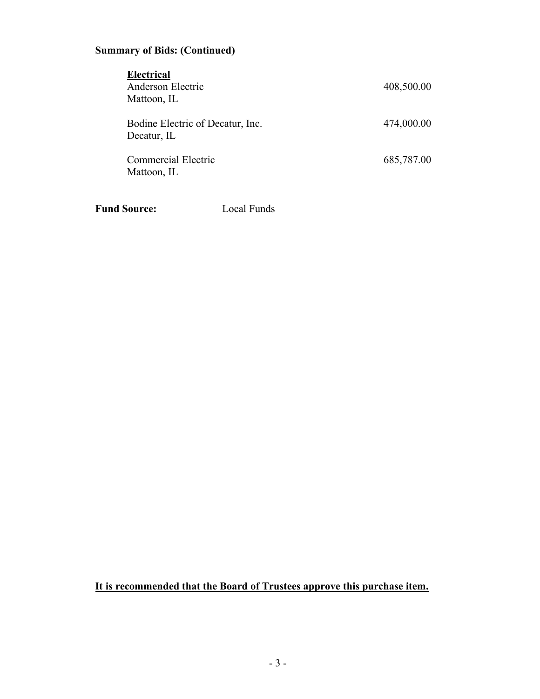#### **Summary of Bids: (Continued)**

| <b>Electrical</b><br>Anderson Electric<br>Mattoon, IL | 408,500.00 |
|-------------------------------------------------------|------------|
| Bodine Electric of Decatur, Inc.<br>Decatur, IL       | 474,000.00 |
| Commercial Electric<br>Mattoon, IL                    | 685,787.00 |

**Fund Source:** Local Funds

#### **It is recommended that the Board of Trustees approve this purchase item.**